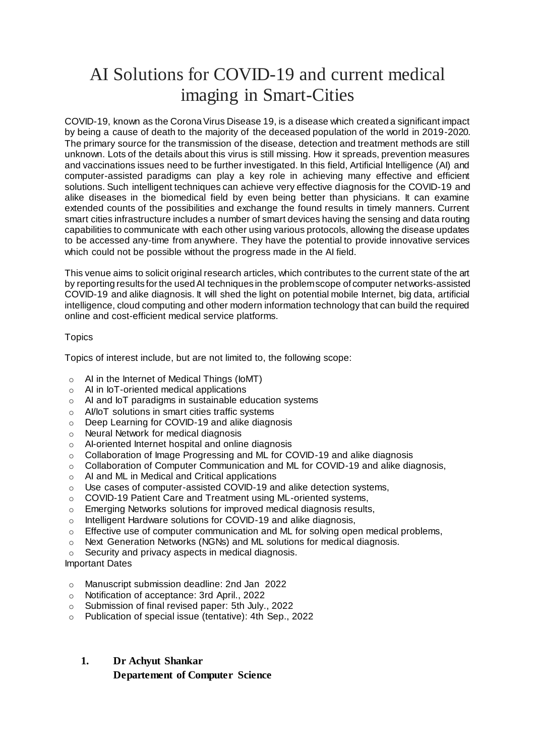# AI Solutions for COVID-19 and current medical imaging in Smart-Cities

COVID-19, known as the Corona Virus Disease 19, is a disease which created a significant impact by being a cause of death to the majority of the deceased population of the world in 2019-2020. The primary source for the transmission of the disease, detection and treatment methods are still unknown. Lots of the details about this virus is still missing. How it spreads, prevention measures and vaccinations issues need to be further investigated. In this field, Artificial Intelligence (AI) and computer-assisted paradigms can play a key role in achieving many effective and efficient solutions. Such intelligent techniques can achieve very effective diagnosis for the COVID-19 and alike diseases in the biomedical field by even being better than physicians. It can examine extended counts of the possibilities and exchange the found results in timely manners. Current smart cities infrastructure includes a number of smart devices having the sensing and data routing capabilities to communicate with each other using various protocols, allowing the disease updates to be accessed any-time from anywhere. They have the potential to provide innovative services which could not be possible without the progress made in the AI field.

This venue aims to solicit original research articles, which contributes to the current state of the art by reporting results for the used AI techniques in the problem scope of computer networks-assisted COVID-19 and alike diagnosis. It will shed the light on potential mobile Internet, big data, artificial intelligence, cloud computing and other modern information technology that can build the required online and cost-efficient medical service platforms.

#### **Topics**

Topics of interest include, but are not limited to, the following scope:

- $\circ$  AI in the Internet of Medical Things (IoMT)
- o AI in IoT-oriented medical applications
- o AI and IoT paradigms in sustainable education systems
- o AI/IoT solutions in smart cities traffic systems
- o Deep Learning for COVID-19 and alike diagnosis
- o Neural Network for medical diagnosis
- o AI-oriented Internet hospital and online diagnosis
- o Collaboration of Image Progressing and ML for COVID-19 and alike diagnosis
- o Collaboration of Computer Communication and ML for COVID-19 and alike diagnosis,
- o AI and ML in Medical and Critical applications
- o Use cases of computer-assisted COVID-19 and alike detection systems,
- o COVID-19 Patient Care and Treatment using ML-oriented systems,
- o Emerging Networks solutions for improved medical diagnosis results,
- o Intelligent Hardware solutions for COVID-19 and alike diagnosis,
- $\circ$  Effective use of computer communication and ML for solving open medical problems,
- o Next Generation Networks (NGNs) and ML solutions for medical diagnosis.
- o Security and privacy aspects in medical diagnosis.

#### Important Dates

- o Manuscript submission deadline: 2nd Jan 2022
- o Notification of acceptance: 3rd April., 2022
- o Submission of final revised paper: 5th July., 2022
- o Publication of special issue (tentative): 4th Sep., 2022

## **1. Dr Achyut Shankar Departement of Computer Science**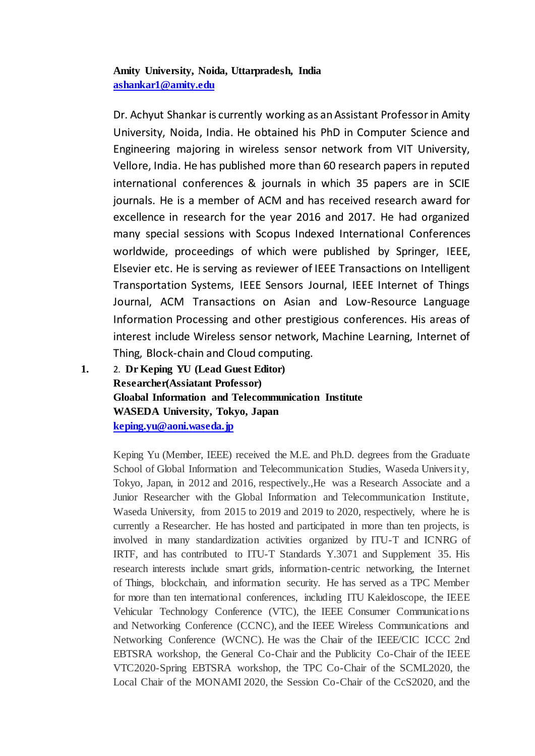### **Amity University, Noida, Uttarpradesh, India [ashankar1@amity.edu](mailto:ashankar1@amity.edu)**

Dr. Achyut Shankar is currently working as an Assistant Professor in Amity University, Noida, India. He obtained his PhD in Computer Science and Engineering majoring in wireless sensor network from VIT University, Vellore, India. He has published more than 60 research papers in reputed international conferences & journals in which 35 papers are in SCIE journals. He is a member of ACM and has received research award for excellence in research for the year 2016 and 2017. He had organized many special sessions with Scopus Indexed International Conferences worldwide, proceedings of which were published by Springer, IEEE, Elsevier etc. He is serving as reviewer of IEEE Transactions on Intelligent Transportation Systems, IEEE Sensors Journal, IEEE Internet of Things Journal, ACM Transactions on Asian and Low-Resource Language Information Processing and other prestigious conferences. His areas of interest include Wireless sensor network, Machine Learning, Internet of Thing, Block-chain and Cloud computing.

**1.** 2. **Dr Keping YU (Lead Guest Editor) Researcher(Assiatant Professor) Gloabal Information and Telecommunication Institute WASEDA University, Tokyo, Japan [keping.yu@aoni.waseda.jp](mailto:keping.yu@aoni.waseda.jp)**

> Keping Yu (Member, IEEE) received the M.E. and Ph.D. degrees from the Graduate School of Global Information and Telecommunication Studies, Waseda University, Tokyo, Japan, in 2012 and 2016, respectively.,He was a Research Associate and a Junior Researcher with the Global Information and Telecommunication Institute, Waseda University, from 2015 to 2019 and 2019 to 2020, respectively, where he is currently a Researcher. He has hosted and participated in more than ten projects, is involved in many standardization activities organized by ITU-T and ICNRG of IRTF, and has contributed to ITU-T Standards Y.3071 and Supplement 35. His research interests include smart grids, information-centric networking, the Internet of Things, blockchain, and information security. He has served as a TPC Member for more than ten international conferences, including ITU Kaleidoscope, the IEEE Vehicular Technology Conference (VTC), the IEEE Consumer Communications and Networking Conference (CCNC), and the IEEE Wireless Communications and Networking Conference (WCNC). He was the Chair of the IEEE/CIC ICCC 2nd EBTSRA workshop, the General Co-Chair and the Publicity Co-Chair of the IEEE VTC2020-Spring EBTSRA workshop, the TPC Co-Chair of the SCML2020, the Local Chair of the MONAMI 2020, the Session Co-Chair of the CcS2020, and the